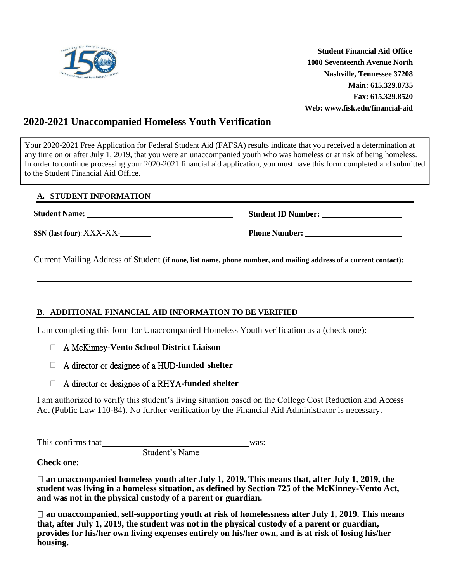

 **Student Financial Aid Office 1000 Seventeenth Avenue North Nashville, Tennessee 37208 Main: 615.329.8735 Fax: 615.329.8520 Web: www.fisk.edu/financial-aid**

## **2020-2021 Unaccompanied Homeless Youth Verification**

Your 2020-2021 Free Application for Federal Student Aid (FAFSA) results indicate that you received a determination at any time on or after July 1, 2019, that you were an unaccompanied youth who was homeless or at risk of being homeless. In order to continue processing your 2020-2021 financial aid application, you must have this form completed and submitted to the Student Financial Aid Office.

## **A. STUDENT INFORMATION**

**Student Name:** 

**SSN (last four**):XXX-XX-

**Student ID Number:** 

**Phone Number:** 

Current Mailing Address of Student **(if none, list name, phone number, and mailing address of a current contact):**

## **B. ADDITIONAL FINANCIAL AID INFORMATION TO BE VERIFIED**

Student's Name

I am completing this form for Unaccompanied Homeless Youth verification as a (check one):

- A McKinney**-Vento School District Liaison**
- A director or designee of a HUD**-funded shelter**
- A director or designee of a RHYA**-funded shelter**

I am authorized to verify this student's living situation based on the College Cost Reduction and Access Act (Public Law 110-84). No further verification by the Financial Aid Administrator is necessary.

This confirms that was:

**Check one**:

**an unaccompanied homeless youth after July 1, 2019. This means that, after July 1, 2019, the student was living in a homeless situation, as defined by Section 725 of the McKinney-Vento Act, and was not in the physical custody of a parent or guardian.**

□ an unaccompanied, self-supporting youth at risk of homelessness after July 1, 2019. This means **that, after July 1, 2019, the student was not in the physical custody of a parent or guardian, provides for his/her own living expenses entirely on his/her own, and is at risk of losing his/her housing.**